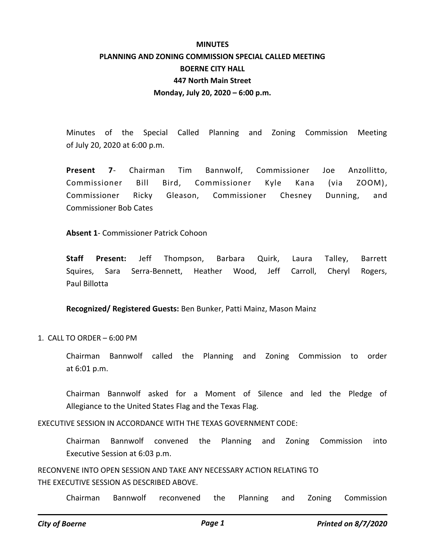## **MINUTES PLANNING AND ZONING COMMISSION SPECIAL CALLED MEETING BOERNE CITY HALL 447 North Main Street Monday, July 20, 2020 – 6:00 p.m.**

Minutes of the Special Called Planning and Zoning Commission Meeting of July 20, 2020 at 6:00 p.m.

**Present 7**- Chairman Tim Bannwolf, Commissioner Joe Anzollitto, Commissioner Bill Bird, Commissioner Kyle Kana (via ZOOM), Commissioner Ricky Gleason, Commissioner Chesney Dunning, and Commissioner Bob Cates

**Absent 1**- Commissioner Patrick Cohoon

**Staff Present:** Jeff Thompson, Barbara Quirk, Laura Talley, Barrett Squires, Sara Serra-Bennett, Heather Wood, Jeff Carroll, Cheryl Rogers, Paul Billotta

**Recognized/ Registered Guests:** Ben Bunker, Patti Mainz, Mason Mainz

1. CALL TO ORDER – 6:00 PM

Chairman Bannwolf called the Planning and Zoning Commission to order at 6:01 p.m.

Chairman Bannwolf asked for a Moment of Silence and led the Pledge of Allegiance to the United States Flag and the Texas Flag.

EXECUTIVE SESSION IN ACCORDANCE WITH THE TEXAS GOVERNMENT CODE:

Chairman Bannwolf convened the Planning and Zoning Commission into Executive Session at 6:03 p.m.

RECONVENE INTO OPEN SESSION AND TAKE ANY NECESSARY ACTION RELATING TO THE EXECUTIVE SESSION AS DESCRIBED ABOVE.

Chairman Bannwolf reconvened the Planning and Zoning Commission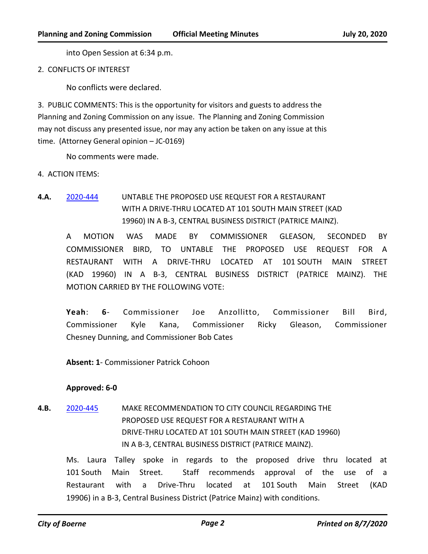into Open Session at 6:34 p.m.

2. CONFLICTS OF INTEREST

No conflicts were declared.

3. PUBLIC COMMENTS: This is the opportunity for visitors and guests to address the Planning and Zoning Commission on any issue. The Planning and Zoning Commission may not discuss any presented issue, nor may any action be taken on any issue at this time. (Attorney General opinion – JC-0169)

No comments were made.

4. ACTION ITEMS:

**4.A.** [2020-444](http://boerne.legistar.com/gateway.aspx?m=l&id=/matter.aspx?key=5363) UNTABLE THE PROPOSED USE REQUEST FOR A RESTAURANT WITH A DRIVE-THRU LOCATED AT 101 SOUTH MAIN STREET (KAD 19960) IN A B-3, CENTRAL BUSINESS DISTRICT (PATRICE MAINZ).

A MOTION WAS MADE BY COMMISSIONER GLEASON, SECONDED BY COMMISSIONER BIRD, TO UNTABLE THE PROPOSED USE REQUEST FOR A RESTAURANT WITH A DRIVE-THRU LOCATED AT 101 SOUTH MAIN STREET (KAD 19960) IN A B-3, CENTRAL BUSINESS DISTRICT (PATRICE MAINZ). THE MOTION CARRIED BY THE FOLLOWING VOTE:

**Yeah**: **6**- Commissioner Joe Anzollitto, Commissioner Bill Bird, Commissioner Kyle Kana, Commissioner Ricky Gleason, Commissioner Chesney Dunning, and Commissioner Bob Cates

**Absent: 1**- Commissioner Patrick Cohoon

## **Approved: 6-0**

**4.B.** [2020-445](http://boerne.legistar.com/gateway.aspx?m=l&id=/matter.aspx?key=5364) MAKE RECOMMENDATION TO CITY COUNCIL REGARDING THE PROPOSED USE REQUEST FOR A RESTAURANT WITH A DRIVE-THRU LOCATED AT 101 SOUTH MAIN STREET (KAD 19960) IN A B-3, CENTRAL BUSINESS DISTRICT (PATRICE MAINZ).

Ms. Laura Talley spoke in regards to the proposed drive thru located at 101 South Main Street. Staff recommends approval of the use of a Restaurant with a Drive-Thru located at 101 South Main Street (KAD 19906) in a B-3, Central Business District (Patrice Mainz) with conditions.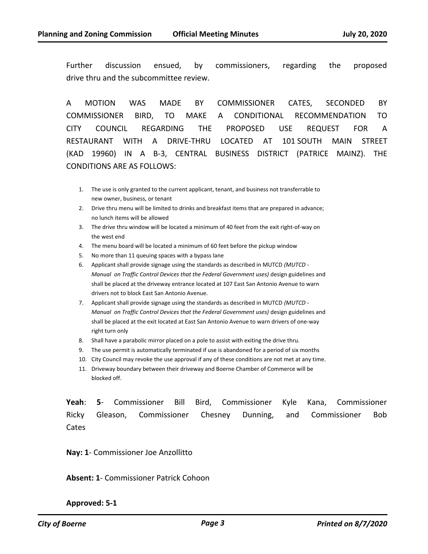Further discussion ensued, by commissioners, regarding the proposed drive thru and the subcommittee review.

A MOTION WAS MADE BY COMMISSIONER CATES, SECONDED BY COMMISSIONER BIRD, TO MAKE A CONDITIONAL RECOMMENDATION TO CITY COUNCIL REGARDING THE PROPOSED USE REQUEST FOR A RESTAURANT WITH A DRIVE-THRU LOCATED AT 101 SOUTH MAIN STREET (KAD 19960) IN A B-3, CENTRAL BUSINESS DISTRICT (PATRICE MAINZ). THE CONDITIONS ARE AS FOLLOWS:

- 1. The use is only granted to the current applicant, tenant, and business not transferrable to new owner, business, or tenant
- 2. Drive thru menu will be limited to drinks and breakfast items that are prepared in advance; no lunch items will be allowed
- 3. The drive thru window will be located a minimum of 40 feet from the exit right-of-way on the west end
- 4. The menu board will be located a minimum of 60 feet before the pickup window
- 5. No more than 11 queuing spaces with a bypass lane
- 6. Applicant shall provide signage using the standards as described in MUTCD *(MUTCD Manual on Traffic Control Devices that the Federal Government uses)* design guidelines and shall be placed at the driveway entrance located at 107 East San Antonio Avenue to warn drivers not to block East San Antonio Avenue.
- 7. Applicant shall provide signage using the standards as described in MUTCD *(MUTCD Manual on Traffic Control Devices that the Federal Government uses)* design guidelines and shall be placed at the exit located at East San Antonio Avenue to warn drivers of one-way right turn only
- 8. Shall have a parabolic mirror placed on a pole to assist with exiting the drive thru.
- 9. The use permit is automatically terminated if use is abandoned for a period of six months
- 10. City Council may revoke the use approval if any of these conditions are not met at any time.
- 11. Driveway boundary between their driveway and Boerne Chamber of Commerce will be blocked off.

**Yeah**: **5**- Commissioner Bill Bird, Commissioner Kyle Kana, Commissioner Ricky Gleason, Commissioner Chesney Dunning, and Commissioner Bob Cates

**Nay: 1**- Commissioner Joe Anzollitto

**Absent: 1**- Commissioner Patrick Cohoon

## **Approved: 5-1**